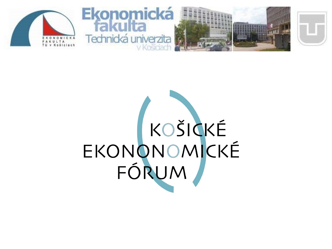

# EKONONOM CKÉ<br>FÓRUM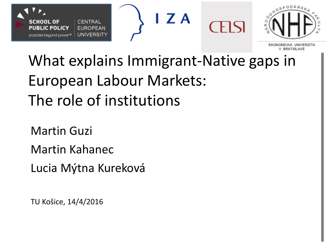





V BRATISLAVE

## What explains Immigrant-Native gaps in European Labour Markets: The role of institutions

Martin Guzi Martin Kahanec Lucia Mýtna Kureková

TU Košice, 14/4/2016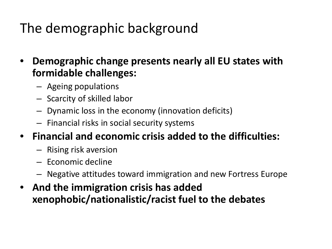#### The demographic background

- **Demographic change presents nearly all EU states with formidable challenges:**
	- Ageing populations
	- Scarcity of skilled labor
	- Dynamic loss in the economy (innovation deficits)
	- Financial risks in social security systems
- **Financial and economic crisis added to the difficulties:**
	- Rising risk aversion
	- Economic decline
	- Negative attitudes toward immigration and new Fortress Europe
- **And the immigration crisis has added xenophobic/nationalistic/racist fuel to the debates**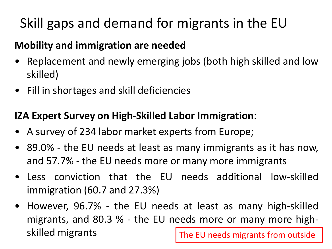#### Skill gaps and demand for migrants in the EU

#### **Mobility and immigration are needed**

- Replacement and newly emerging jobs (both high skilled and low skilled)
- Fill in shortages and skill deficiencies

#### **IZA Expert Survey on High-Skilled Labor Immigration**:

- A survey of 234 labor market experts from Europe;
- 89.0% the EU needs at least as many immigrants as it has now, and 57.7% - the EU needs more or many more immigrants
- Less conviction that the EU needs additional low-skilled immigration (60.7 and 27.3%)
- However, 96.7% the EU needs at least as many high-skilled migrants, and 80.3 % - the EU needs more or many more highskilled migrants The EU needs migrants from outside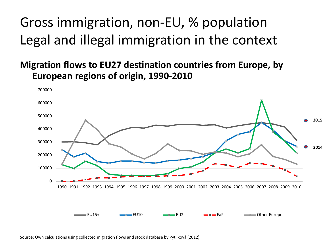#### Gross immigration, non-EU, % population Legal and illegal immigration in the context

**Migration flows to EU27 destination countries from Europe, by European regions of origin, 1990-2010**



Source: Own calculations using collected migration flows and stock database by Pytliková (2012).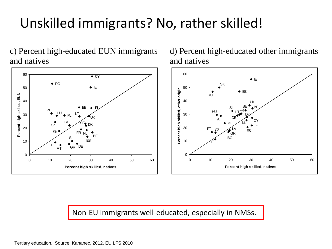#### Unskilled immigrants? No, rather skilled!

c) Percent high-educated EUN immigrants and natives



d) Percent high-educated other immigrants and natives



Non-EU immigrants well-educated, especially in NMSs.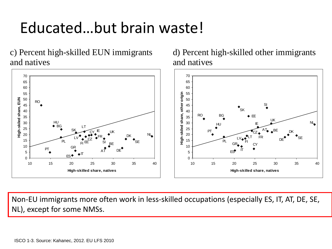### Educated…but brain waste!

c) Percent high-skilled EUN immigrants and natives



#### d) Percent high-skilled other immigrants and natives



Non-EU immigrants more often work in less-skilled occupations (especially ES, IT, AT, DE, SE, NL), except for some NMSs.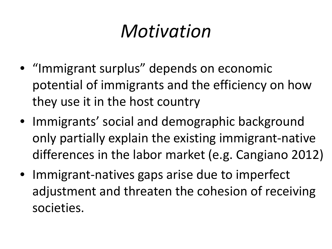## *Motivation*

- "Immigrant surplus" depends on economic potential of immigrants and the efficiency on how they use it in the host country
- Immigrants' social and demographic background only partially explain the existing immigrant-native differences in the labor market (e.g. Cangiano 2012)
- Immigrant-natives gaps arise due to imperfect adjustment and threaten the cohesion of receiving societies.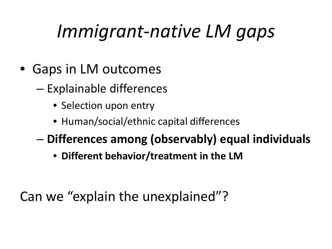## *Immigrant-native LM gaps*

- Gaps in LM outcomes
	- Explainable differences
		- Selection upon entry
		- Human/social/ethnic capital differences
	- **Differences among (observably) equal individuals**
		- **Different behavior/treatment in the LM**

Can we "explain the unexplained"?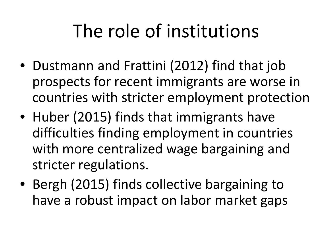## The role of institutions

- Dustmann and Frattini (2012) find that job prospects for recent immigrants are worse in countries with stricter employment protection
- Huber (2015) finds that immigrants have difficulties finding employment in countries with more centralized wage bargaining and stricter regulations.
- Bergh (2015) finds collective bargaining to have a robust impact on labor market gaps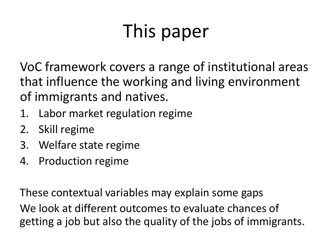# This paper

VoC framework covers a range of institutional areas that influence the working and living environment of immigrants and natives.

- 1. Labor market regulation regime
- 2. Skill regime
- 3. Welfare state regime
- 4. Production regime

These contextual variables may explain some gaps We look at different outcomes to evaluate chances of getting a job but also the quality of the jobs of immigrants.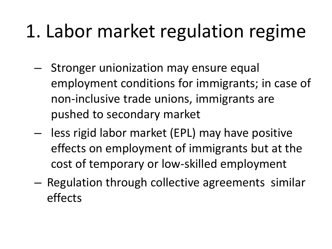## 1. Labor market regulation regime

- Stronger unionization may ensure equal employment conditions for immigrants; in case of non-inclusive trade unions, immigrants are pushed to secondary market
- less rigid labor market (EPL) may have positive effects on employment of immigrants but at the cost of temporary or low-skilled employment
- Regulation through collective agreements similar effects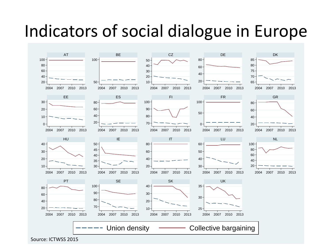## Indicators of social dialogue in Europe

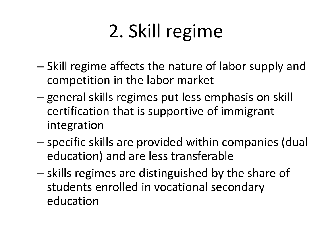# 2. Skill regime

- Skill regime affects the nature of labor supply and competition in the labor market
- general skills regimes put less emphasis on skill certification that is supportive of immigrant integration
- specific skills are provided within companies (dual education) and are less transferable
- skills regimes are distinguished by the share of students enrolled in vocational secondary education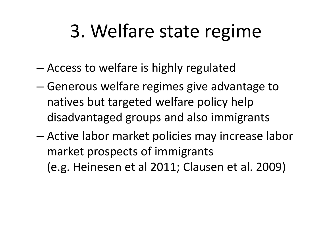## 3. Welfare state regime

- Access to welfare is highly regulated
- Generous welfare regimes give advantage to natives but targeted welfare policy help disadvantaged groups and also immigrants
- Active labor market policies may increase labor market prospects of immigrants (e.g. Heinesen et al 2011; Clausen et al. 2009)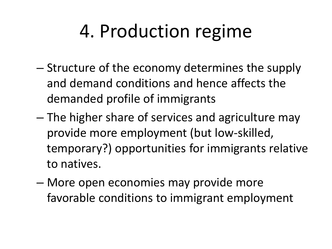# 4. Production regime

- Structure of the economy determines the supply and demand conditions and hence affects the demanded profile of immigrants
- The higher share of services and agriculture may provide more employment (but low-skilled, temporary?) opportunities for immigrants relative to natives.
- More open economies may provide more favorable conditions to immigrant employment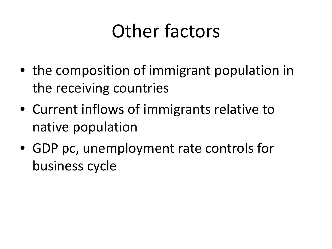## Other factors

- the composition of immigrant population in the receiving countries
- Current inflows of immigrants relative to native population
- GDP pc, unemployment rate controls for business cycle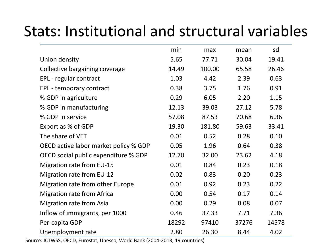#### Stats: Institutional and structural variables

|                                       | min   | max    | mean  | sd    |
|---------------------------------------|-------|--------|-------|-------|
| Union density                         | 5.65  | 77.71  | 30.04 | 19.41 |
| Collective bargaining coverage        | 14.49 | 100.00 | 65.58 | 26.46 |
| EPL - regular contract                | 1.03  | 4.42   | 2.39  | 0.63  |
| EPL - temporary contract              | 0.38  | 3.75   | 1.76  | 0.91  |
| % GDP in agriculture                  | 0.29  | 6.05   | 2.20  | 1.15  |
| % GDP in manufacturing                | 12.13 | 39.03  | 27.12 | 5.78  |
| % GDP in service                      | 57.08 | 87.53  | 70.68 | 6.36  |
| Export as % of GDP                    | 19.30 | 181.80 | 59.63 | 33.41 |
| The share of VET                      | 0.01  | 0.52   | 0.28  | 0.10  |
| OECD active labor market policy % GDP | 0.05  | 1.96   | 0.64  | 0.38  |
| OECD social public expenditure % GDP  | 12.70 | 32.00  | 23.62 | 4.18  |
| <b>Migration rate from EU-15</b>      | 0.01  | 0.84   | 0.23  | 0.18  |
| <b>Migration rate from EU-12</b>      | 0.02  | 0.83   | 0.20  | 0.23  |
| Migration rate from other Europe      | 0.01  | 0.92   | 0.23  | 0.22  |
| <b>Migration rate from Africa</b>     | 0.00  | 0.54   | 0.17  | 0.14  |
| <b>Migration rate from Asia</b>       | 0.00  | 0.29   | 0.08  | 0.07  |
| Inflow of immigrants, per 1000        | 0.46  | 37.33  | 7.71  | 7.36  |
| Per-capita GDP                        | 18292 | 97410  | 37276 | 14578 |
| Unemployment rate                     | 2.80  | 26.30  | 8.44  | 4.02  |

Source: ICTWSS, OECD, Eurostat, Unesco, World Bank (2004-2013, 19 countries)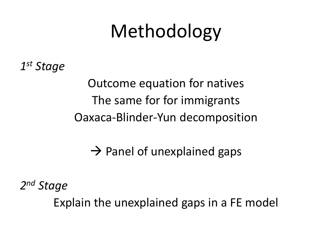## Methodology

*1st Stage*

Outcome equation for natives The same for for immigrants Oaxaca-Blinder-Yun decomposition

 $\rightarrow$  Panel of unexplained gaps

*2nd Stage*

Explain the unexplained gaps in a FE model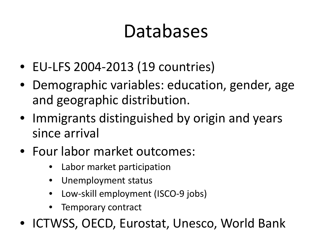## Databases

- EU-LFS 2004-2013 (19 countries)
- Demographic variables: education, gender, age and geographic distribution.
- Immigrants distinguished by origin and years since arrival
- Four labor market outcomes:
	- Labor market participation
	- Unemployment status
	- Low-skill employment (ISCO-9 jobs)
	- Temporary contract
- ICTWSS, OECD, Eurostat, Unesco, World Bank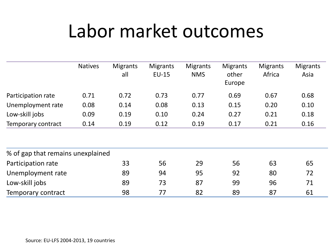## Labor market outcomes

|                                   | <b>Natives</b> | <b>Migrants</b><br>all | <b>Migrants</b><br><b>EU-15</b> | <b>Migrants</b><br><b>NMS</b> | <b>Migrants</b><br>other<br>Europe | <b>Migrants</b><br>Africa | <b>Migrants</b><br>Asia |
|-----------------------------------|----------------|------------------------|---------------------------------|-------------------------------|------------------------------------|---------------------------|-------------------------|
| Participation rate                | 0.71           | 0.72                   | 0.73                            | 0.77                          | 0.69                               | 0.67                      | 0.68                    |
| Unemployment rate                 | 0.08           | 0.14                   | 0.08                            | 0.13                          | 0.15                               | 0.20                      | 0.10                    |
| Low-skill jobs                    | 0.09           | 0.19                   | 0.10                            | 0.24                          | 0.27                               | 0.21                      | 0.18                    |
| Temporary contract                | 0.14           | 0.19                   | 0.12                            | 0.19                          | 0.17                               | 0.21                      | 0.16                    |
|                                   |                |                        |                                 |                               |                                    |                           |                         |
| % of gap that remains unexplained |                |                        |                                 |                               |                                    |                           |                         |
| Participation rate                |                | 33                     | 56                              | 29                            | 56                                 | 63                        | 65                      |
| Unemployment rate                 |                | 89                     | 94                              | 95                            | 92                                 | 80                        | 72                      |
| Low-skill jobs                    |                | 89                     | 73                              | 87                            | 99                                 | 96                        | 71                      |
| Temporary contract                |                | 98                     | 77                              | 82                            | 89                                 | 87                        | 61                      |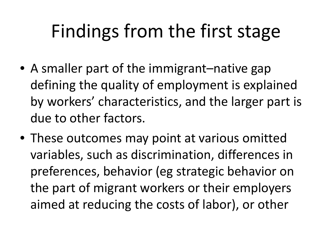## Findings from the first stage

- A smaller part of the immigrant–native gap defining the quality of employment is explained by workers' characteristics, and the larger part is due to other factors.
- These outcomes may point at various omitted variables, such as discrimination, differences in preferences, behavior (eg strategic behavior on the part of migrant workers or their employers aimed at reducing the costs of labor), or other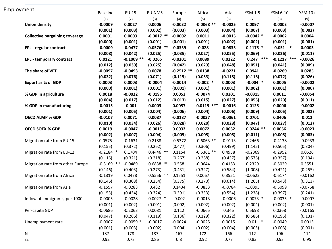| Employment |                                       | <b>Baseline</b> | $EU-15$      | EU-NMS       | Europe      | Africa       | Asia      | <b>YSM 1-5</b> | YSM 6-10      | YSM 10+   |
|------------|---------------------------------------|-----------------|--------------|--------------|-------------|--------------|-----------|----------------|---------------|-----------|
|            |                                       | (1)             | (2)          | (3)          | (4)         | (5)          | (6)       | (7)            | (8)           | (9)       |
|            | <b>Union density</b>                  | $-0.0009$       | 0.0027       | 0.0006       | $-0.0032$   | $-0.0068$ ** | $-0.0025$ | 0.0097         | $-0.0003$     | $-0.0007$ |
|            |                                       | (0.001)         | (0.003)      | (0.002)      | (0.003)     | (0.003)      | (0.004)   | (0.007)        | (0.003)       | (0.002)   |
|            | <b>Collective bargaining coverage</b> | 0.0001          | 0.0003       | $-0.0017$ ** | $-0.0002$   | 0.0011       | $-0.0015$ | $-0.0042$ *    | $-0.0002$     | 0.0004    |
|            |                                       | (0.000)         | (0.001)      | (0.001)      | (0.001)     | (0.001)      | (0.002)   | (0.002)        | (0.001)       | (0.001)   |
|            | EPL - regular contract                | $-0.0009$       | $-0.0477$    | $0.0576$ **  | $-0.0339$   | $-0.028$     | $-0.0835$ | $0.1175$ *     | $0.051$ *     | 0.0003    |
|            |                                       | (0.008)         | (0.042)      | (0.025)      | (0.035)     | (0.027)      | (0.055)   | (0.069)        | (0.026)       | (0.011)   |
|            | EPL - temporary contract              | 0.0121          | $-0.1009$ ** | $-0.0265$    | $-0.0201$   | 0.0089       | 0.0222    | $0.247$ ***    | $-0.1217$ *** | $-0.0026$ |
|            |                                       | (0.012)         | (0.039)      | (0.025)      | (0.042)     | (0.023)      | (0.048)   | (0.051)        | (0.041)       | (0.009)   |
|            | The share of VET                      | $-0.0097$       | $-0.0493$    | 0.0078       | $-0.2512**$ | 0.0138       | $-0.0221$ | 0.0941         | $-0.0269$     | 0.0285    |
|            |                                       | (0.032)         | (0.076)      | (0.071)      | (0.115)     | (0.053)      | (0.118)   | (0.116)        | (0.072)       | (0.026)   |
|            | <b>Export as % of GDP</b>             | 0.0003          | 0.0003       | $-0.0004$    | $-0.0014$   | $-0.002$ *   | 0.0003    | $-0.004$ *     | 0.0005        | $-0.0002$ |
|            |                                       | (0.000)         | (0.001)      | (0.001)      | (0.001)     | (0.001)      | (0.001)   | (0.002)        | (0.001)       | (0.000)   |
|            | % GDP in agriculture                  | 0.0018          | $-0.0022$    | $-0.0195$    | 0.0053      | $-0.0074$    | 0.0301    | $-0.0315$      | 0.0011        | $-0.0054$ |
|            |                                       | (0.004)         | (0.017)      | (0.012)      | (0.013)     | (0.015)      | (0.027)   | (0.055)        | (0.020)       | (0.011)   |
|            | % GDP in manufacturing                | $-0.0015$       | $-0.001$     | 0.0003       | 0.0057      | $0.0119$ *** | $-0.0016$ | 0.0125         | 0.0006        | $-0.0002$ |
|            |                                       | (0.001)         | (0.005)      | (0.004)      | (0.006)     | (0.004)      | (0.006)   | (0.009)        | (0.005)       | (0.002)   |
|            | <b>OECD ALMP % GDP</b>                | $-0.0107$       | 0.0071       | 0.0087       | $-0.0187$   | $-0.0037$    | $-0.0061$ | 0.0701         | 0.0406        | 0.012     |
|            |                                       | (0.010)         | (0.034)      | (0.026)      | (0.028)     | (0.020)      | (0.028)   | (0.047)        | (0.027)       | (0.012)   |
|            | <b>OECD SOEX % GDP</b>                | 0.0019          | $-0.0047$    | $-0.0015$    | 0.0032      | 0.0072       | 0.0032    | $0.0244$ **    | 0.0056        | $-0.0023$ |
|            |                                       | (0.002)         | (0.007)      | (0.004)      | (0.005)     | (0.005)      | (0.008)   | (0.011)        | (0.005)       | (0.003)   |
|            | Migration rate from EU-15             | 0.0575          | $-0.1631$    | 0.2188       | $-0.5372$   | $-0.6063$ ** | $-0.0113$ | 0.2466         | $-0.4138$     | $-0.0933$ |
|            |                                       | (0.155)         | (0.372)      | (0.262)      | (0.477)     | (0.306)      | (0.499)   | (1.145)        | (0.505)       | (0.304)   |
|            | Migration rate from EU-12             | $-0.2184$ *     | 0.1704       | $0.4446$ **  | 0.1154      | $-0.5361$ ** | 0.4958    | $-0.2369$      | $-0.2952$     | 0.0526    |
|            |                                       | (0.116)         | (0.321)      | (0.218)      | (0.267)     | (0.268)      | (0.437)   | (0.576)        | (0.357)       | (0.194)   |
|            | Migration rate from other Europe      | $-0.3169$ **    | $-0.0489$    | $0.6838$ **  | 0.558       | $-0.0644$    | 0.4163    | 0.2329         | $-0.5029$     | 0.3551    |
|            |                                       | (0.146)         | (0.403)      | (0.273)      | (0.431)     | (0.327)      | (0.584)   | (1.008)        | (0.421)       | (0.255)   |
|            | Migration rate from Africa            | $-0.1319$       | 0.0478       | $0.5556$ **  | 0.1551      | 0.0067       | 0.3551    | $-0.0622$      | $-0.6174$     | $-0.0162$ |
|            |                                       | (0.146)         | (0.308)      | (0.254)      | (0.375)     | (0.270)      | (0.614)   | (1.265)        | (0.543)       | (0.313)   |
|            | Migration rate from Asia              | $-0.1557$       | $-0.0283$    | 0.482        | 0.1434      | $-0.0833$    | $-0.0784$ | $-1.0395$      | $-0.5099$     | $-0.0768$ |
|            |                                       | (0.153)         | (0.434)      | (0.324)      | (0.391)     | (0.333)      | (0.554)   | (1.238)        | (0.397)       | (0.241)   |
|            | Inflow of immigrants, per 1000        | $-0.0005$       | $-0.0028$    | $0.0027$ *   | $-0.002$    | $-0.0013$    | $-0.0006$ | $0.0073$ *     | $-0.0035$ *   | $-0.0007$ |
|            |                                       | (0.001)         | (0.002)      | (0.001)      | (0.002)     | (0.002)      | (0.002)   | (0.004)        | (0.002)       | (0.001)   |
|            | Per-capita GDP                        | $-0.0686$       | $-0.2063$    | 0.0081       | 0.112       | $-0.0665$    | 0.346     | 0.5698         | 0.0368        | $-0.0165$ |
|            |                                       | (0.047)         | (0.266)      | (0.119)      | (0.136)     | (0.129)      | (0.322)   | (0.586)        | (0.195)       | (0.131)   |
|            | Unemployment rate                     | $-0.0007$       | $-0.0059$ *  | $-0.0017$    | $-0.0024$   | $-0.0025$    | 0.0015    | $0.01$ *       | $-0.0049$     | 0.0015    |
|            |                                       | (0.001)         | (0.003)      | (0.002)      | (0.004)     | (0.002)      | (0.004)   | (0.005)        | (0.003)       | (0.001)   |
|            | ${\sf N}$                             | 187             | 178          | 187          | 167         | 172          | 166       | 112            | 106           | 114       |
|            | r2                                    | 0.92            | 0.73         | 0.86         | 0.8         | 0.92         | 0.77      | 0.83           | 0.93          | 0.95      |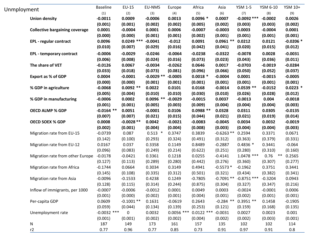| Unmployment |                                       | <b>Baseline</b> | EU-15        | EU-NMS      | Europe       | Africa       | Asia        | <b>YSM 1-5</b>         | YSM 6-10  | YSM 10+    |
|-------------|---------------------------------------|-----------------|--------------|-------------|--------------|--------------|-------------|------------------------|-----------|------------|
|             |                                       | (1)             | (2)          | (3)         | (4)          | (5)          | (6)         | (7)                    | (8)       | (9)        |
|             | <b>Union density</b>                  | $-0.0011$       | 0.0009       | $-0.0006$   | 0.0013       | $0.0096*$    | 0.0007      | $-0.0092$ ***          | $-0.0002$ | 0.0026     |
|             |                                       | (0.001)         | (0.001)      | (0.002)     | (0.002)      | (0.005)      | (0.002)     | (0.003)                | (0.003)   | (0.002)    |
|             | <b>Collective bargaining coverage</b> | 0.0001          | $-0.0004$    | 0.0001      | 0.0006       | $-0.0007$    | $-0.0003$   | 0.0003                 | $-0.0004$ | 0.0001     |
|             |                                       | (0.000)         | (0.000)      | (0.001)     | (0.001)      | (0.002)      | (0.001)     | (0.001)                | (0.001)   | (0.001)    |
|             | <b>EPL</b> - regular contract         | 0.0096          | $0.0249$ *** | $-0.0041$   | $-0.012$     | 0.0091       | $0.0961**$  | 0.0212                 | 0.0121    | $-0.0206*$ |
|             |                                       | (0.010)         | (0.007)      | (0.029)     | (0.016)      | (0.042)      | (0.041)     | (0.020)                | (0.015)   | (0.012)    |
|             | <b>EPL - temporary contract</b>       | $-0.0006$       | $-0.0029$    | $-0.0246$   | $-0.0064$    | $-0.0238$    | $-0.0322$   | $-0.0078$              | 0.0028    | $-0.0031$  |
|             |                                       | (0.006)         | (0.008)      | (0.024)     | (0.016)      | (0.073)      | (0.023)     | (0.043)                | (0.036)   | (0.011)    |
|             | The share of VET                      | $-0.0126$       | 0.0067       | $-0.0034$   | $-0.0262$    | 0.0646       | 0.0017      | $-0.0703$              | $-0.0019$ | $-0.0284$  |
|             |                                       | (0.033)         | (0.018)      | (0.073)     | (0.081)      | (0.096)      | (0.066)     | (0.050)                | (0.052)   | (0.037)    |
|             | <b>Export as % of GDP</b>             | 0.0004          | $-0.0001$    | $-0.0029**$ | $-0.0005$    | $0.0018$ *   | $-0.0004$   | 0.0001                 | $-0.0015$ | $-0.0005$  |
|             |                                       | (0.000)         | (0.000)      | (0.001)     | (0.001)      | (0.001)      | (0.001)     | (0.001)                | (0.001)   | (0.001)    |
|             | % GDP in agriculture                  | $-0.0068$       | $0.0092**$   | 0.0022      | 0.0101       | 0.0168       | $-0.0014$   | $0.0539**$             | $-0.0152$ | $0.0223$ * |
|             |                                       | (0.005)         | (0.004)      | (0.010)     | (0.010)      | (0.030)      | (0.010)     | (0.026)                | (0.028)   | (0.012)    |
|             | % GDP in manufacturing                | $-0.0006$       | 0.0002       | $0.0096$ ** | $-0.0029$    | $-0.0015$    | 0.0037      | $-0.0013$              | 0.004     | $-0.0018$  |
|             |                                       | (0.001)         | (0.001)      | (0.005)     | (0.003)      | (0.009)      | (0.004)     | (0.004)                | (0.004)   | (0.003)    |
|             | <b>OECD ALMP % GDP</b>                | $-0.0164$ **    | 0.0051       | $-0.0001$   | 0.0106       | $0.0988**$   | 0.0328      | 0.0311                 | 0.0305    | $-0.0135$  |
|             |                                       | (0.007)         | (0.007)      | (0.021)     | (0.015)      | (0.044)      | (0.021)     | (0.021)                | (0.019)   | (0.014)    |
|             | <b>OECD SOEX % GDP</b>                | 0.0008          | $-0.0028**$  | 0.0042      | $-0.0021$    | $-0.0083$    | $-0.0045$   | 0.0034                 | 0.0032    | $-0.0019$  |
|             |                                       | (0.002)         | (0.001)      | (0.004)     | (0.004)      | (0.008)      | (0.003)     | (0.004)                | (0.004)   | (0.003)    |
|             | Migration rate from EU-15             | $-0.0739$       | 0.087        | $0.513$ *   | 0.3747       | 0.3839       | $-0.6263**$ | 0.2594                 | 0.3371    | 0.0671     |
|             |                                       | (0.142)         | (0.100)      | (0.293)     | (0.324)      | (0.491)      | (0.312)     | (0.363)                | (0.379)   | (0.331)    |
|             | Migration rate from EU-12             | 0.0167          | 0.037        | 0.3358      | 0.1149       | 0.8489       | $-0.2887$   | $0.4836*$              | 0.3441    | $-0.064$   |
|             |                                       | (0.096)         | (0.083)      | (0.249)     | (0.214)      | (0.622)      | (0.251)     | (0.280)                | (0.310)   | (0.160)    |
|             | Migration rate from other Europe      | $-0.0178$       | $-0.0421$    | 0.3361      | 0.1218       | 0.0255       | $-0.4141$   | $1.0478$ ***           | $0.76$ ** | 0.2565     |
|             |                                       | (0.127)         | (0.113)      | (0.289)     | (0.280)      | (0.442)      | (0.276)     | (0.360)                | (0.307)   | (0.277)    |
|             | Migration rate from Africa            | $-0.1744$       | 0.0664       | 0.3034      | 0.3149       | 0.4941       | $-0.5573*$  | $-0.1962$              | 0.3751    | 0.3441     |
|             |                                       | (0.145)         | (0.108)      | (0.335)     | (0.312)      | (0.501)      | (0.321)     | (0.434)                | (0.382)   | (0.341)    |
|             | Migration rate from Asia              | $-0.0096$       | $-0.1533$    | 0.4238      | 0.1249       | $-0.7805$    |             | $-0.7091** -0.8751***$ | $-0.3204$ | 0.0943     |
|             |                                       | (0.128)         | (0.115)      | (0.314)     | (0.244)      | (0.875)      | (0.304)     | (0.327)                | (0.347)   | (0.216)    |
|             | Inflow of immigrants, per 1000        | $-0.0007$       | $-0.0006$    | $-0.0012$   | 0.0001       | 0.0049       | 0.0003      | $-0.0024$              | $-0.0001$ | 0.0006     |
|             |                                       | (0.001)         | (0.000)      | (0.002)     | (0.001)      | (0.004)      | (0.001)     | (0.002)                | (0.001)   | (0.001)    |
|             | Per-capita GDP                        | 0.0609          | $-0.1001**$  | 0.1631      | $-0.0619$    | 0.2643       | $-0.284$ ** | $0.3951$ **            | 0.1458    | $-0.1905$  |
|             |                                       | (0.059)         | (0.044)      | (0.134)     | (0.139)      | (0.253)      | (0.121)     | (0.159)                | (0.168)   | (0.135)    |
|             | Unemployment rate                     | $-0.0032$ ***   | 0            | 0.0032      | $0.0056$ *** | $0.0122$ *** | $-0.0031$   | 0.0027                 | 0.0023    | 0.001      |
|             |                                       | (0.001)         | (0.001)      | (0.002)     | (0.002)      | (0.004)      | (0.002)     | (0.002)                | (0.003)   | (0.001)    |
|             | N                                     | 187             | 149          | 173         | 161          | 157          | 135         | 102                    | 102       | 114        |
|             | r2                                    | 0.77            | 0.96         | 0.77        | 0.85         | 0.73         | 0.91        | 0.97                   | 0.91      | 0.8        |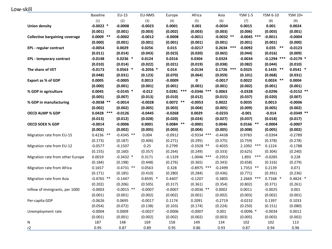Low-skill

|                                       | <b>Baseline</b> | EU-15        | EU-NMS      | Europe       | Africa        | Asia         | <b>YSM 1-5</b> | YSM 6-10       | YSM 10+      |
|---------------------------------------|-----------------|--------------|-------------|--------------|---------------|--------------|----------------|----------------|--------------|
|                                       | (1)             | (2)          | (3)         | (4)          | (5)           | (6)          | (7)            | (8)            | (9)          |
| <b>Union density</b>                  | $-0.0022$ *     | $-0.0008$    | $-0.0023$   | 0.0001       | 0.001         | $-0.0034$    | 0.0015         | 0.001          | 0.0024       |
|                                       | (0.001)         | (0.001)      | (0.003)     | (0.002)      | (0.003)       | (0.003)      | (0.006)        | (0.003)        | (0.001)      |
| <b>Collective bargaining coverage</b> | $0.0009$ **     | $-0.0002$    | $-0.0012$   | $-0.0008$    | $-0.0011$     | $-0.0032$ ** | $-0.0045$ ***  | $-0.0011$      | $-0.0004$    |
|                                       | (0.000)         | (0.001)      | (0.001)     | (0.001)      | (0.001)       | (0.001)      | (0.001)        | (0.001)        | (0.000)      |
| EPL - regular contract                | $-0.0054$       | 0.0029       | 0.0256      | 0.015        | $-0.0217$     | $0.2634$ *** | $-0.0092$      | $***$<br>0.035 | $-0.0123$    |
|                                       | (0.011)         | (0.014)      | (0.043)     | (0.023)      | (0.020)       | (0.065)      | (0.044)        | (0.016)        | (0.009)      |
| EPL - temporary contract              | $-0.0148$       | $0.0236$ *   | 0.0124      | 0.0316       | 0.0304        | 0.0324       | $-0.0034$      | $-0.1294$ ***  | $-0.0179$ *  |
|                                       | (0.010)         | (0.014)      | (0.022)     | (0.021)      | (0.019)       | (0.038)      | (0.082)        | (0.044)        | (0.010)      |
| The share of VET                      | $-0.0173$       | $0.0563$ *   | $-0.2056$ * | 0.014        | $-0.0134$     | $0.1726$ *** | 0.0325         | $0.1435$ **    | $0.0541$ *   |
|                                       | (0.048)         | (0.031)      | (0.123)     | (0.070)      | (0.064)       | (0.059)      | (0.101)        | (0.068)        | (0.031)      |
| Export as % of GDP                    | 0.0005          | $-0.0005$    | 0.0013      | $-0.0009$    | 0             | $-0.0017$    | 0.0022         | $0.0024$ **    | 0.0004       |
|                                       | (0.000)         | (0.001)      | (0.001)     | (0.001)      | (0.001)       | (0.001)      | (0.002)        | (0.001)        | (0.001)      |
| % GDP in agriculture                  | 0.0045          | $-0.0145$ *  | $-0.012$    | $0.0281$ *** | $-0.0346$ *** | 0.0063       | $-0.0328$      | $-0.0296$      | $-0.0152$ ** |
|                                       | (0.005)         | (0.007)      | (0.013)     | (0.010)      | (0.012)       | (0.015)      | (0.037)        | (0.020)        | (0.007)      |
| % GDP in manufacturing                | $-0.0038$ **    | $-0.0014$    | $-0.0028$   | $0.0072$ **  | $-0.0053$     | 0.0022       | 0.0035         | 0.0013         | $-0.0006$    |
|                                       | (0.002)         | (0.002)      | (0.005)     | (0.003)      | (0.004)       | (0.005)      | (0.009)        | (0.005)        | (0.002)      |
| <b>OECD ALMP % GDP</b>                | $0.0428$ ***    | $-0.0126$    | $-0.0445$   | $-0.0268$    | 0.0029        | $-0.0233$    | $-0.001$       | $-0.014$       | $-0.0349$ ** |
|                                       | (0.013)         | (0.012)      | (0.028)     | (0.020)      | (0.024)       | (0.027)      | (0.037)        | (0.018)        | (0.017)      |
| <b>OECD SOEX % GDP</b>                | $-0.0014$       | $-0.0006$    | 0.0001      | $0.0084$ **  | $-0.0001$     | 0.0046       | $0.0166$ **    | $-0.0004$      | $-0.0007$    |
|                                       | (0.002)         | (0.002)      | (0.005)     | (0.003)      | (0.004)       | (0.005)      | (0.008)        | (0.005)        | (0.002)      |
| Migration rate from EU-15             | $0.4236$ **     | $-0.4345$ ** | 0.004       | $-0.0912$    | $-0.9334$ *** | $-0.4438$    | 0.9783         | $-0.0394$      | $-0.2789$    |
|                                       | (0.173)         | (0.187)      | (0.406)     | (0.271)      | (0.295)       | (0.375)      | (0.759)        | (0.378)        | (0.278)      |
| Migration rate from EU-12             | $-0.0577$       | $-0.1507$    | 0.25        | 0.2799       | $-0.5928$ **  | $-0.4035$    | 2.1092 ***     | 0.1224         | $-0.1788$    |
|                                       | (0.155)         | (0.160)      | (0.357)     | (0.264)      | (0.249)       | (0.333)      | (0.625)        | (0.304)        | (0.240)      |
| Migration rate from other Europe      | 0.0019          | $-0.3432$ *  | 0.3171      | $-0.1329$    | $-1.0046$ *** | $-0.2953$    | $***$<br>1.893 | $-0.0285$      | 0.228        |
|                                       | (0.184)         | (0.198)      | (0.448)     | (0.276)      | (0.365)       | (0.343)      | (0.658)        | (0.316)        | (0.279)      |
| Migration rate from Africa            | 0.1657          | $-0.4731$ ** | 0.0563      | 0.328        | $-0.8975$ *** | $-0.2499$    | 1.7353 **      | 0.2139         | 0.071        |
|                                       | (0.171)         | (0.185)      | (0.410)     | (0.280)      | (0.284)       | (0.436)      | (0.771)        | (0.391)        | (0.236)      |
| Migration rate from Asia              | $-0.4765$ **    | $-0.1447$    | $0.8595$ *  | 0.4407       | $-0.1207$     | $-0.3805$    | 2.2669 ***     | $0.7168$ *     | $0.4824$ *   |
|                                       | (0.202)         | (0.206)      | (0.505)     | (0.317)      | (0.361)       | (0.354)      | (0.802)        | (0.371)        | (0.261)      |
| Inflow of immigrants, per 1000        | $-0.0003$       | $-0.0015$ ** | $-0.0007$   | $-0.0007$    | $-0.0036$ **  | 0.0002       | 0.0011         | $-0.0025$      | 0.001        |
|                                       | (0.001)         | (0.001)      | (0.002)     | (0.002)      | (0.001)       | (0.002)      | (0.003)        | (0.002)        | (0.001)      |
| Per-capita GDP                        | $-0.0626$       | 0.0695       | $-0.0017$   | 0.1174       | 0.2091        | $-0.2719$    | $-0.0232$      | 0.1397         | 0.1033       |
|                                       | (0.054)         | (0.072)      | (0.138)     | (0.103)      | (0.174)       | (0.224)      | (0.250)        | (0.151)        | (0.080)      |
| Unemployment rate                     | $-0.0004$       | 0.0009       | $-0.0027$   | $-0.0006$    | $-0.0007$     | 0.001        | $-0.0096$ *    | $-0.0034$      | 0.0012       |
|                                       | (0.001)         | (0.001)      | (0.002)     | (0.002)      | (0.002)       | (0.003)      | (0.005)        | (0.003)        | (0.002)      |
| N                                     | 187             | 148          | 169         | 158          | 149           | 134          | 102            | 102            | 113          |
| r2                                    | 0.95            | 0.87         | 0.89        | 0.95         | 0.86          | 0.93         | 0.87           | 0.94           | 0.96         |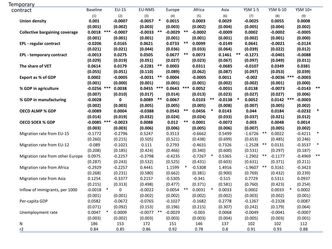| Temporary                             |                 |        |             |              |        |              |       |           |        |           |        |                |       |               |           |        |
|---------------------------------------|-----------------|--------|-------------|--------------|--------|--------------|-------|-----------|--------|-----------|--------|----------------|-------|---------------|-----------|--------|
| contract                              | <b>Baseline</b> |        | $EU-15$     | EU-NMS       |        | Europe       |       | Africa    |        | Asia      |        | <b>YSM 1-5</b> |       | YSM 6-10      | YSM 10+   |        |
|                                       | (1)             |        | (2)         | (3)          |        | (4)          |       | (5)       |        | (6)       |        | (7)            |       | (8)           | (9)       |        |
| <b>Union density</b>                  | 0.001           |        | $-0.0007$   | $-0.0057$    | $\ast$ | 0.0015       |       | 0.0003    |        | 0.0029    |        | $-0.0025$      |       | 0.0055        | 0.0008    |        |
|                                       | (0.001)         |        | (0.002)     | (0.003)      |        | (0.003)      |       | (0.002)   |        | (0.004)   |        | (0.005)        |       | (0.004)       | (0.002)   |        |
| <b>Collective bargaining coverage</b> | $0.0018$ ***    |        | $-0.0007$   | $-0.0033$    | $***$  | $-0.0029$ ** |       | $-0.0002$ |        | $-0.0009$ |        | 0.0002         |       | $-0.0002$     | $-0.0005$ |        |
|                                       | (0.001)         |        | (0.001)     | (0.001)      |        | (0.001)      |       | (0.001)   |        | (0.001)   |        | (0.002)        |       | (0.001)       | (0.000)   |        |
| EPL - regular contract                | $-0.0206$       |        | 0.0165      | 0.0621       |        | 0.0733       | **    | 0.0099    |        | $-0.0149$ |        | 0.0641         |       | $-0.0021$     | $-0.0124$ |        |
|                                       | (0.021)         |        | (0.021)     | (0.044)      |        | (0.036)      |       | (0.033)   |        | (0.064)   |        | (0.039)        |       | (0.022)       | (0.012)   |        |
| <b>EPL - temporary contract</b>       | $-0.0013$       |        | 0.0275      | 0.0505       |        | $0.0677$ **  |       | 0.0073    |        | 0.1461    | $***$  | $-0.1271$      |       | $-0.0401$     | $-0.0088$ |        |
|                                       | (0.029)         |        | (0.019)     | (0.051)      |        | (0.027)      |       | (0.023)   |        | (0.067)   |        | (0.097)        |       | (0.049)       | (0.011)   |        |
| The share of VET                      | 0.0614          |        | 0.0179      | $-0.2281$ ** |        | 0.0003       |       | 0.0311    |        | $-0.0685$ |        | $-0.0107$      |       | 0.0349        | 0.0381    |        |
|                                       | (0.055)         |        | (0.051)     | (0.110)      |        | (0.089)      |       | (0.062)   |        | (0.087)   |        | (0.097)        |       | (0.053)       | (0.039)   |        |
| <b>Export as % of GDP</b>             | 0.0002          |        | $-0.0005$   | $-0.0031$    | $***$  | 0.0004       |       | $-0.0005$ |        | 0.0011    |        | $-0.002$       |       | $-0.0036$ *** | $-0.0003$ |        |
|                                       | (0.001)         |        | (0.000)     | (0.001)      |        | (0.001)      |       | (0.001)   |        | (0.002)   |        | (0.002)        |       | (0.001)       | (0.000)   |        |
| % GDP in agriculture                  | $-0.0256$ ***   |        | 0.0038      | 0.0455       | ***    | $0.0643$ *** |       | 0.0052    |        | $-0.0031$ |        | 0.0138         |       | $-0.0073$     | $-0.0143$ | $***$  |
|                                       | (0.007)         |        | (0.010)     | (0.017)      |        | (0.014)      |       | (0.013)   |        | (0.023)   |        | (0.027)        |       | (0.027)       | (0.006)   |        |
| % GDP in manufacturing                | $-0.0028$       |        | $\mathbf 0$ | 0.0089       | $***$  | 0.0067       |       | 0.0103    | $***$  | $-0.0138$ | $\ast$ | 0.0052         |       | $0.0142$ ***  | $-0.0003$ |        |
|                                       | (0.002)         |        | (0.003)     | (0.005)      |        | (0.005)      |       | (0.005)   |        | (0.008)   |        | (0.007)        |       | (0.005)       | (0.002)   |        |
| <b>OECD ALMP % GDP</b>                | $-0.0089$       |        | 0.0004      | $-0.0388$    |        | 0.0543       | **    | 0.0456    | $\ast$ | 0.0143    |        | 0.044          |       | 0.0184        | $-0.0232$ |        |
|                                       | (0.014)         |        | (0.019)     | (0.032)      |        | (0.024)      |       | (0.024)   |        | (0.033)   |        | (0.037)        |       | (0.021)       | (0.012)   |        |
| <b>OECD SOEX % GDP</b>                | $-0.0085$ ***   |        | $-0.0023$   | 0.0088       |        | 0.012        | $***$ | 0.0001    |        | $-0.0072$ |        | 0.003          |       | 0.0048        | 0.0014    |        |
|                                       | (0.003)         |        | (0.003)     | (0.006)      |        | (0.006)      |       | (0.005)   |        | (0.006)   |        | (0.007)        |       | (0.005)       | (0.002)   |        |
| Migration rate from EU-15             | $-0.1772$       |        | $-0.2796$   | 0.5247       |        | 0.3513       |       | $-0.6662$ |        | 0.5499    |        | $-1.6726$ **   |       | 0.0022        | $-0.4211$ | $\ast$ |
|                                       | (0.260)         |        | (0.215)     | (0.505)      |        | (0.521)      |       | (0.438)   |        | (0.699)   |        | (0.653)        |       | (0.485)       | (0.246)   |        |
| Migration rate from EU-12             | $-0.089$        |        | $-0.1021$   | 0.111        |        | 0.2793       |       | $-0.4631$ |        | 0.7326    |        | $-1.2528$ **   |       | 0.0131        | $-0.3537$ | $\ast$ |
|                                       | (0.208)         |        | (0.185)     | (0.424)      |        | (0.466)      |       | (0.340)   |        | (0.600)   |        | (0.531)        |       | (0.297)       | (0.187)   |        |
| Migration rate from other Europe      | 0.0975          |        | $-0.2257$   | $-0.3798$    |        | $-0.4235$    |       | $-0.7267$ |        | 0.5365    |        | $-1.2902$      | $***$ | $-0.1177$     | $-0.4969$ | $***$  |
|                                       | (0.287)         |        | (0.243)     | (0.532)      |        | (0.525)      |       | (0.431)   |        | (0.603)   |        | (0.631)        |       | (0.371)       | (0.211)   |        |
| Migration rate from Africa            | $-0.2929$       |        | $-0.2257$   | 0.4441       |        | 1.1599       |       | $-0.5308$ |        | 1.4916    |        | $-1.9607$ **   |       | 0.3161        | $-0.3423$ |        |
|                                       | (0.268)         |        | (0.231)     | (0.580)      |        | (0.662)      |       | (0.381)   |        | (0.900)   |        | (0.769)        |       | (0.432)       | (0.239)   |        |
| Migration rate from Asia              | 0.1254          |        | $-0.3377$   | 0.2157       |        | $-0.5305$    |       | $-0.341$  |        | 0.515     |        | 0.7729         |       | 0.5311        | 0.0937    |        |
|                                       | (0.215)         |        | (0.313)     | (0.498)      |        | (0.477)      |       | (0.371)   |        | (0.581)   |        | (0.760)        |       | (0.423)       | (0.254)   |        |
| Inflow of immigrants, per 1000        | $-0.0018$       | $\ast$ | 0           | $-0.0022$    |        | $0.0054$ **  |       | 0.0031    | $\ast$ | 0.0033    |        | 0.0002         |       | 0.0033        | 0.0002    |        |
|                                       | (0.001)         |        | (0.001)     | (0.002)      |        | (0.002)      |       | (0.002)   |        | (0.002)   |        | (0.003)        |       | (0.002)       | (0.001)   |        |
| Per-capita GDP                        | 0.0582          |        | $-0.0672$   | $-0.0765$    |        | $-0.1027$    |       | $-0.1682$ |        | 0.2778    |        | $-0.1267$      |       | $-0.2328$     | 0.0087    |        |
|                                       | (0.071)         |        | (0.092)     | (0.153)      |        | (0.196)      |       | (0.215)   |        | (0.307)   |        | (0.242)        |       | (0.179)       | (0.064)   |        |
| Unemployment rate                     | 0.0047          | $\ast$ | 0.0009      | $-0.0077$ ** |        | $-0.0029$    |       | $-0.003$  |        | 0.0068    |        | $-0.0049$      |       | $-0.0041$     | $-0.0007$ |        |
|                                       | (0.003)         |        | (0.002)     | (0.003)      |        | (0.003)      |       | (0.003)   |        | (0.004)   |        | (0.005)        |       | (0.003)       | (0.001)   |        |
| N                                     | 186             |        | 153         | 172          |        | 151          |       | 146       |        | 137       |        | 102            |       | 102           | 112       |        |
| r2                                    | 0.84            |        | 0.85        | 0.86         |        | 0.92         |       | 0.78      |        | 0.8       |        | 0.91           |       | 0.93          | 0.88      |        |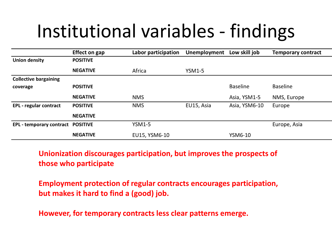## Institutional variables - findings

|                                   | <b>Effect on gap</b> | Labor participation | Unemployment  | Low skill job   | <b>Temporary contract</b> |
|-----------------------------------|----------------------|---------------------|---------------|-----------------|---------------------------|
| <b>Union density</b>              | <b>POSITIVE</b>      |                     |               |                 |                           |
|                                   | <b>NEGATIVE</b>      | Africa              | <b>YSM1-5</b> |                 |                           |
| <b>Collective bargaining</b>      |                      |                     |               |                 |                           |
| coverage                          | <b>POSITIVE</b>      |                     |               | <b>Baseline</b> | <b>Baseline</b>           |
|                                   | <b>NEGATIVE</b>      | <b>NMS</b>          |               | Asia, YSM1-5    | NMS, Europe               |
| <b>EPL</b> - regular contract     | <b>POSITIVE</b>      | <b>NMS</b>          | EU15, Asia    | Asia, YSM6-10   | Europe                    |
|                                   | <b>NEGATIVE</b>      |                     |               |                 |                           |
| EPL - temporary contract POSITIVE |                      | YSM1-5              |               |                 | Europe, Asia              |
|                                   | <b>NEGATIVE</b>      | EU15, YSM6-10       |               | YSM6-10         |                           |

**Unionization discourages participation, but improves the prospects of those who participate**

**Employment protection of regular contracts encourages participation, but makes it hard to find a (good) job.** 

**However, for temporary contracts less clear patterns emerge.**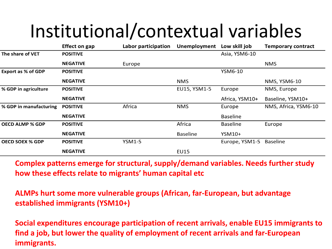## Institutional/contextual variables

|                           | <b>Effect on gap</b> | Labor participation | <b>Unemployment</b> | Low skill job   | <b>Temporary contract</b> |
|---------------------------|----------------------|---------------------|---------------------|-----------------|---------------------------|
| The share of VET          | <b>POSITIVE</b>      |                     |                     | Asia, YSM6-10   |                           |
|                           | <b>NEGATIVE</b>      | Europe              |                     |                 | <b>NMS</b>                |
| <b>Export as % of GDP</b> | <b>POSITIVE</b>      |                     |                     | YSM6-10         |                           |
|                           | <b>NEGATIVE</b>      |                     | <b>NMS</b>          |                 | NMS, YSM6-10              |
| % GDP in agriculture      | <b>POSITIVE</b>      |                     | EU15, YSM1-5        | Europe          | NMS, Europe               |
|                           | <b>NEGATIVE</b>      |                     |                     | Africa, YSM10+  | Baseline, YSM10+          |
| % GDP in manufacturing    | <b>POSITIVE</b>      | Africa              | <b>NMS</b>          | Europe          | NMS, Africa, YSM6-10      |
|                           | <b>NEGATIVE</b>      |                     |                     | <b>Baseline</b> |                           |
| <b>OECD ALMP % GDP</b>    | <b>POSITIVE</b>      |                     | Africa              | <b>Baseline</b> | Europe                    |
|                           | <b>NEGATIVE</b>      |                     | <b>Baseline</b>     | YSM10+          |                           |
| <b>OECD SOEX % GDP</b>    | <b>POSITIVE</b>      | <b>YSM1-5</b>       |                     | Europe, YSM1-5  | Baseline                  |
|                           | <b>NEGATIVE</b>      |                     | <b>EU15</b>         |                 |                           |

**Complex patterns emerge for structural, supply/demand variables. Needs further study how these effects relate to migrants' human capital etc**

**ALMPs hurt some more vulnerable groups (African, far-European, but advantage established immigrants (YSM10+)**

**Social expenditures encourage participation of recent arrivals, enable EU15 immigrants to find a job, but lower the quality of employment of recent arrivals and far-European immigrants.**